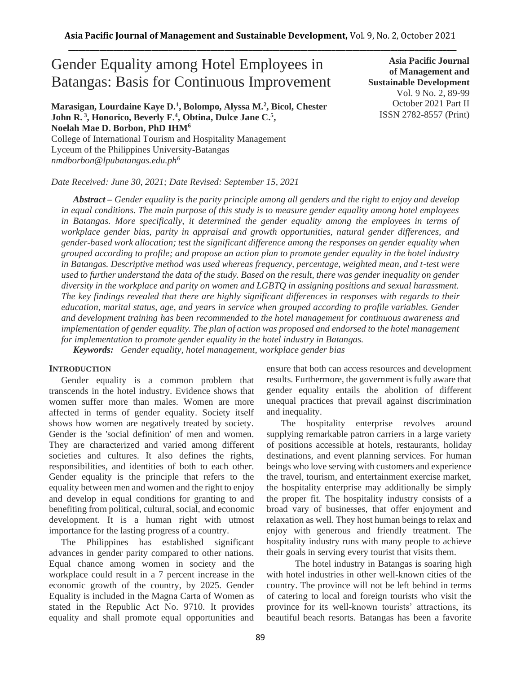# Gender Equality among Hotel Employees in Batangas: Basis for Continuous Improvement

**Marasigan, Lourdaine Kaye D.<sup>1</sup> , Bolompo, Alyssa M.<sup>2</sup> , Bicol, Chester John R. <sup>3</sup> , Honorico, Beverly F.<sup>4</sup> , Obtina, Dulce Jane C.<sup>5</sup> , Noelah Mae D. Borbon, PhD IHM<sup>6</sup>**

College of International Tourism and Hospitality Management Lyceum of the Philippines University-Batangas *nmdborbon@lpubatangas.edu.ph<sup>6</sup>*

*Date Received: June 30, 2021; Date Revised: September 15, 2021*

**Asia Pacific Journal of Management and Sustainable Development**  Vol. 9 No. 2, 89-99 October 2021 Part II ISSN 2782-8557 (Print)

*Abstract – Gender equality is the parity principle among all genders and the right to enjoy and develop in equal conditions. The main purpose of this study is to measure gender equality among hotel employees*  in Batangas. More specifically, it determined the gender equality among the employees in terms of *workplace gender bias, parity in appraisal and growth opportunities, natural gender differences, and gender-based work allocation; test the significant difference among the responses on gender equality when grouped according to profile; and propose an action plan to promote gender equality in the hotel industry in Batangas. Descriptive method was used whereas frequency, percentage, weighted mean, and t-test were used to further understand the data of the study. Based on the result, there was gender inequality on gender diversity in the workplace and parity on women and LGBTQ in assigning positions and sexual harassment. The key findings revealed that there are highly significant differences in responses with regards to their education, marital status, age, and years in service when grouped according to profile variables. Gender and development training has been recommended to the hotel management for continuous awareness and implementation of gender equality. The plan of action was proposed and endorsed to the hotel management for implementation to promote gender equality in the hotel industry in Batangas.*

*Keywords: Gender equality, hotel management, workplace gender bias*

### **INTRODUCTION**

Gender equality is a common problem that transcends in the hotel industry. Evidence shows that women suffer more than males. Women are more affected in terms of gender equality. Society itself shows how women are negatively treated by society. Gender is the 'social definition' of men and women. They are characterized and varied among different societies and cultures. It also defines the rights, responsibilities, and identities of both to each other. Gender equality is the principle that refers to the equality between men and women and the right to enjoy and develop in equal conditions for granting to and benefiting from political, cultural, social, and economic development. It is a human right with utmost importance for the lasting progress of a country.

The Philippines has established significant advances in gender parity compared to other nations. Equal chance among women in society and the workplace could result in a 7 percent increase in the economic growth of the country, by 2025. Gender Equality is included in the Magna Carta of Women as stated in the Republic Act No. 9710. It provides equality and shall promote equal opportunities and ensure that both can access resources and development results. Furthermore, the government is fully aware that gender equality entails the abolition of different unequal practices that prevail against discrimination and inequality.

The hospitality enterprise revolves around supplying remarkable patron carriers in a large variety of positions accessible at hotels, restaurants, holiday destinations, and event planning services. For human beings who love serving with customers and experience the travel, tourism, and entertainment exercise market, the hospitality enterprise may additionally be simply the proper fit. The hospitality industry consists of a broad vary of businesses, that offer enjoyment and relaxation as well. They host human beings to relax and enjoy with generous and friendly treatment. The hospitality industry runs with many people to achieve their goals in serving every tourist that visits them.

 The hotel industry in Batangas is soaring high with hotel industries in other well-known cities of the country. The province will not be left behind in terms of catering to local and foreign tourists who visit the province for its well-known tourists' attractions, its beautiful beach resorts. Batangas has been a favorite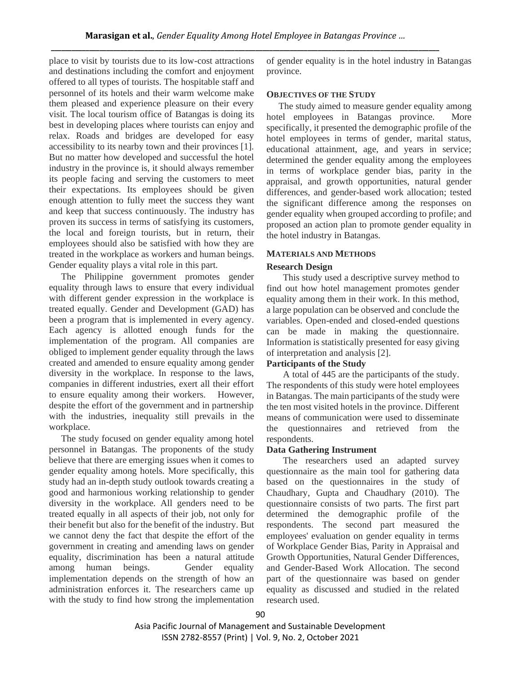place to visit by tourists due to its low-cost attractions and destinations including the comfort and enjoyment offered to all types of tourists. The hospitable staff and personnel of its hotels and their warm welcome make them pleased and experience pleasure on their every visit. The local tourism office of Batangas is doing its best in developing places where tourists can enjoy and relax. Roads and bridges are developed for easy accessibility to its nearby town and their provinces [1]. But no matter how developed and successful the hotel industry in the province is, it should always remember its people facing and serving the customers to meet their expectations. Its employees should be given enough attention to fully meet the success they want and keep that success continuously. The industry has proven its success in terms of satisfying its customers, the local and foreign tourists, but in return, their employees should also be satisfied with how they are treated in the workplace as workers and human beings. Gender equality plays a vital role in this part.

The Philippine government promotes gender equality through laws to ensure that every individual with different gender expression in the workplace is treated equally. Gender and Development (GAD) has been a program that is implemented in every agency. Each agency is allotted enough funds for the implementation of the program. All companies are obliged to implement gender equality through the laws created and amended to ensure equality among gender diversity in the workplace. In response to the laws, companies in different industries, exert all their effort to ensure equality among their workers. However, despite the effort of the government and in partnership with the industries, inequality still prevails in the workplace.

The study focused on gender equality among hotel personnel in Batangas. The proponents of the study believe that there are emerging issues when it comes to gender equality among hotels. More specifically, this study had an in-depth study outlook towards creating a good and harmonious working relationship to gender diversity in the workplace. All genders need to be treated equally in all aspects of their job, not only for their benefit but also for the benefit of the industry. But we cannot deny the fact that despite the effort of the government in creating and amending laws on gender equality, discrimination has been a natural attitude among human beings. Gender equality implementation depends on the strength of how an administration enforces it. The researchers came up with the study to find how strong the implementation of gender equality is in the hotel industry in Batangas province.

#### **OBJECTIVES OF THE STUDY**

The study aimed to measure gender equality among hotel employees in Batangas province. More specifically, it presented the demographic profile of the hotel employees in terms of gender, marital status, educational attainment, age, and years in service; determined the gender equality among the employees in terms of workplace gender bias, parity in the appraisal, and growth opportunities, natural gender differences, and gender-based work allocation; tested the significant difference among the responses on gender equality when grouped according to profile; and proposed an action plan to promote gender equality in the hotel industry in Batangas.

#### **MATERIALS AND METHODS**

#### **Research Design**

 This study used a descriptive survey method to find out how hotel management promotes gender equality among them in their work. In this method, a large population can be observed and conclude the variables. Open-ended and closed-ended questions can be made in making the questionnaire. Information is statistically presented for easy giving of interpretation and analysis [2].

## **Participants of the Study**

 A total of 445 are the participants of the study. The respondents of this study were hotel employees in Batangas. The main participants of the study were the ten most visited hotels in the province. Different means of communication were used to disseminate the questionnaires and retrieved from the respondents.

#### **Data Gathering Instrument**

 The researchers used an adapted survey questionnaire as the main tool for gathering data based on the questionnaires in the study of Chaudhary, Gupta and Chaudhary (2010). The questionnaire consists of two parts. The first part determined the demographic profile of the respondents. The second part measured the employees' evaluation on gender equality in terms of Workplace Gender Bias, Parity in Appraisal and Growth Opportunities, Natural Gender Differences, and Gender-Based Work Allocation. The second part of the questionnaire was based on gender equality as discussed and studied in the related research used.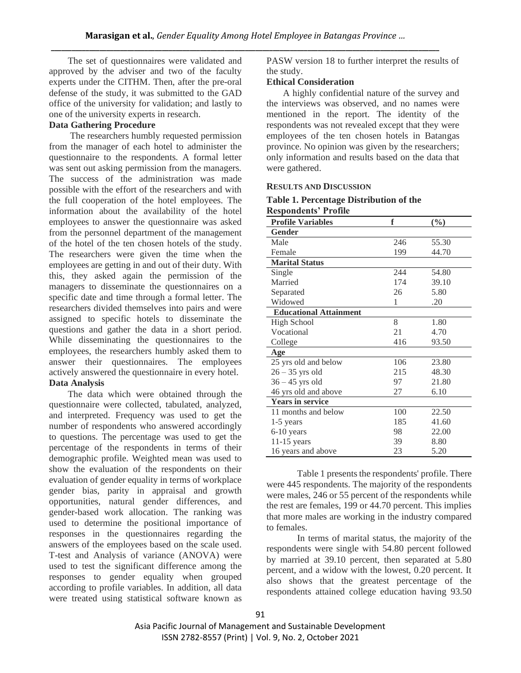The set of questionnaires were validated and approved by the adviser and two of the faculty experts under the CITHM. Then, after the pre-oral defense of the study, it was submitted to the GAD office of the university for validation; and lastly to one of the university experts in research.

# **Data Gathering Procedure**

 The researchers humbly requested permission from the manager of each hotel to administer the questionnaire to the respondents. A formal letter was sent out asking permission from the managers. The success of the administration was made possible with the effort of the researchers and with the full cooperation of the hotel employees. The information about the availability of the hotel employees to answer the questionnaire was asked from the personnel department of the management of the hotel of the ten chosen hotels of the study. The researchers were given the time when the employees are getting in and out of their duty. With this, they asked again the permission of the managers to disseminate the questionnaires on a specific date and time through a formal letter. The researchers divided themselves into pairs and were assigned to specific hotels to disseminate the questions and gather the data in a short period. While disseminating the questionnaires to the employees, the researchers humbly asked them to answer their questionnaires. The employees actively answered the questionnaire in every hotel.

## **Data Analysis**

 The data which were obtained through the questionnaire were collected, tabulated, analyzed, and interpreted. Frequency was used to get the number of respondents who answered accordingly to questions. The percentage was used to get the percentage of the respondents in terms of their demographic profile. Weighted mean was used to show the evaluation of the respondents on their evaluation of gender equality in terms of workplace gender bias, parity in appraisal and growth opportunities, natural gender differences, and gender-based work allocation. The ranking was used to determine the positional importance of responses in the questionnaires regarding the answers of the employees based on the scale used. T-test and Analysis of variance (ANOVA) were used to test the significant difference among the responses to gender equality when grouped according to profile variables. In addition, all data were treated using statistical software known as

PASW version 18 to further interpret the results of the study.

## **Ethical Consideration**

 A highly confidential nature of the survey and the interviews was observed, and no names were mentioned in the report. The identity of the respondents was not revealed except that they were employees of the ten chosen hotels in Batangas province. No opinion was given by the researchers; only information and results based on the data that were gathered.

## **RESULTS AND DISCUSSION**

#### **Table 1. Percentage Distribution of the Respondents' Profile**

| <b>Profile Variables</b>      | f   | $(\%)$ |
|-------------------------------|-----|--------|
| Gender                        |     |        |
| Male                          | 246 | 55.30  |
| Female                        | 199 | 44.70  |
| <b>Marital Status</b>         |     |        |
| Single                        | 244 | 54.80  |
| Married                       | 174 | 39.10  |
| Separated                     | 26  | 5.80   |
| Widowed                       | 1   | .20    |
| <b>Educational Attainment</b> |     |        |
| High School                   | 8   | 1.80   |
| Vocational                    | 21  | 4.70   |
| College                       | 416 | 93.50  |
| Age                           |     |        |
| 25 yrs old and below          | 106 | 23.80  |
| $26 - 35$ yrs old             | 215 | 48.30  |
| $36 - 45$ yrs old             | 97  | 21.80  |
| 46 yrs old and above          | 27  | 6.10   |
| <b>Years in service</b>       |     |        |
| 11 months and below           | 100 | 22.50  |
| $1-5$ years                   | 185 | 41.60  |
| 6-10 years                    | 98  | 22.00  |
| $11-15$ years                 | 39  | 8.80   |
| 16 years and above            | 23  | 5.20   |

Table 1 presents the respondents' profile. There were 445 respondents. The majority of the respondents were males, 246 or 55 percent of the respondents while the rest are females, 199 or 44.70 percent. This implies that more males are working in the industry compared to females.

In terms of marital status, the majority of the respondents were single with 54.80 percent followed by married at 39.10 percent, then separated at 5.80 percent, and a widow with the lowest, 0.20 percent. It also shows that the greatest percentage of the respondents attained college education having 93.50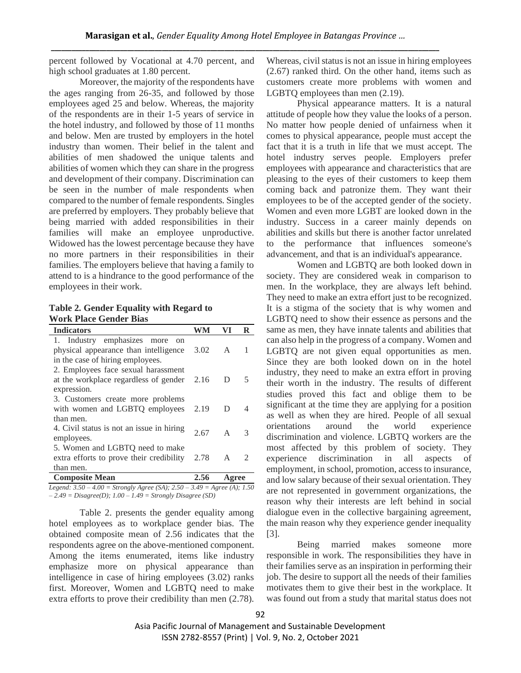percent followed by Vocational at 4.70 percent, and high school graduates at 1.80 percent.

Moreover, the majority of the respondents have the ages ranging from 26-35, and followed by those employees aged 25 and below. Whereas, the majority of the respondents are in their 1-5 years of service in the hotel industry, and followed by those of 11 months and below. Men are trusted by employers in the hotel industry than women. Their belief in the talent and abilities of men shadowed the unique talents and abilities of women which they can share in the progress and development of their company. Discrimination can be seen in the number of male respondents when compared to the number of female respondents. Singles are preferred by employers. They probably believe that being married with added responsibilities in their families will make an employee unproductive. Widowed has the lowest percentage because they have no more partners in their responsibilities in their families. The employers believe that having a family to attend to is a hindrance to the good performance of the employees in their work.

**Table 2. Gender Equality with Regard to Work Place Gender Bias**

| <b>Indicators</b>                                                          |      |              | R |
|----------------------------------------------------------------------------|------|--------------|---|
| 1. Industry emphasizes more<br>on<br>physical appearance than intelligence | 3.02 | A            | 1 |
| in the case of hiring employees.                                           |      |              |   |
| 2. Employees face sexual harassment                                        |      |              |   |
| at the workplace regardless of gender 2.16                                 |      | D            | 5 |
| expression.                                                                |      |              |   |
| 3. Customers create more problems                                          |      |              |   |
| with women and LGBTQ employees 2.19                                        |      | D            |   |
| than men.                                                                  |      |              |   |
| 4. Civil status is not an issue in hiring                                  | 2.67 | $\mathsf{A}$ | 3 |
| employees.                                                                 |      |              |   |
| 5. Women and LGBTQ need to make                                            |      |              |   |
| extra efforts to prove their credibility                                   | 2.78 | A            | 2 |
| than men.                                                                  |      |              |   |
| <b>Composite Mean</b>                                                      |      | Agree        |   |

*Legend: 3.50 – 4.00 = Strongly Agree (SA); 2.50 – 3.49 = Agree (A); 1.50 – 2.49 = Disagree(D); 1.00 – 1.49 = Strongly Disagree (SD)*

Table 2. presents the gender equality among hotel employees as to workplace gender bias. The obtained composite mean of 2.56 indicates that the respondents agree on the above-mentioned component. Among the items enumerated, items like industry emphasize more on physical appearance than intelligence in case of hiring employees (3.02) ranks first. Moreover, Women and LGBTQ need to make extra efforts to prove their credibility than men (2.78).

Whereas, civil status is not an issue in hiring employees (2.67) ranked third. On the other hand, items such as customers create more problems with women and LGBTQ employees than men (2.19).

Physical appearance matters. It is a natural attitude of people how they value the looks of a person. No matter how people denied of unfairness when it comes to physical appearance, people must accept the fact that it is a truth in life that we must accept. The hotel industry serves people. Employers prefer employees with appearance and characteristics that are pleasing to the eyes of their customers to keep them coming back and patronize them. They want their employees to be of the accepted gender of the society. Women and even more LGBT are looked down in the industry. Success in a career mainly depends on abilities and skills but there is another factor unrelated to the performance that influences someone's advancement, and that is an individual's appearance.

Women and LGBTQ are both looked down in society. They are considered weak in comparison to men. In the workplace, they are always left behind. They need to make an extra effort just to be recognized. It is a stigma of the society that is why women and LGBTQ need to show their essence as persons and the same as men, they have innate talents and abilities that can also help in the progress of a company. Women and LGBTQ are not given equal opportunities as men. Since they are both looked down on in the hotel industry, they need to make an extra effort in proving their worth in the industry. The results of different studies proved this fact and oblige them to be significant at the time they are applying for a position as well as when they are hired. People of all sexual orientations around the world experience discrimination and violence. LGBTQ workers are the most affected by this problem of society. They experience discrimination in all aspects of employment, in school, promotion, access to insurance, and low salary because of their sexual orientation. They are not represented in government organizations, the reason why their interests are left behind in social dialogue even in the collective bargaining agreement, the main reason why they experience gender inequality [3].

Being married makes someone more responsible in work. The responsibilities they have in their families serve as an inspiration in performing their job. The desire to support all the needs of their families motivates them to give their best in the workplace. It was found out from a study that marital status does not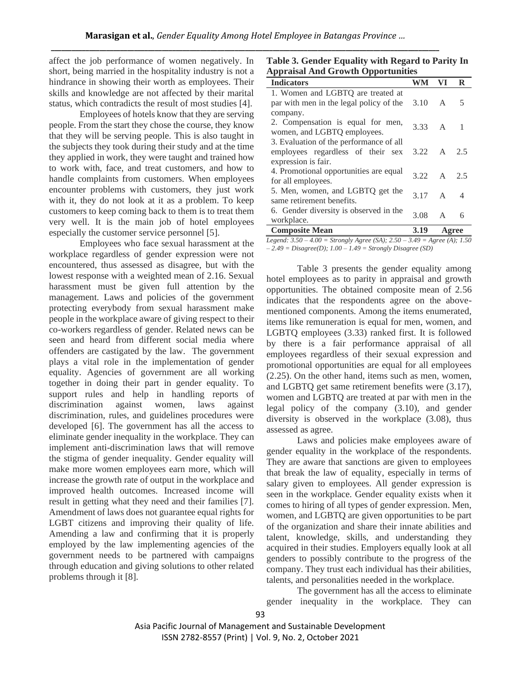affect the job performance of women negatively. In short, being married in the hospitality industry is not a hindrance in showing their worth as employees. Their skills and knowledge are not affected by their marital status, which contradicts the result of most studies [4].

Employees of hotels know that they are serving people. From the start they chose the course, they know that they will be serving people. This is also taught in the subjects they took during their study and at the time they applied in work, they were taught and trained how to work with, face, and treat customers, and how to handle complaints from customers. When employees encounter problems with customers, they just work with it, they do not look at it as a problem. To keep customers to keep coming back to them is to treat them very well. It is the main job of hotel employees especially the customer service personnel [5].

Employees who face sexual harassment at the workplace regardless of gender expression were not encountered, thus assessed as disagree, but with the lowest response with a weighted mean of 2.16. Sexual harassment must be given full attention by the management. Laws and policies of the government protecting everybody from sexual harassment make people in the workplace aware of giving respect to their co-workers regardless of gender. Related news can be seen and heard from different social media where offenders are castigated by the law. The government plays a vital role in the implementation of gender equality. Agencies of government are all working together in doing their part in gender equality. To support rules and help in handling reports of discrimination against women, laws against discrimination, rules, and guidelines procedures were developed [6]. The government has all the access to eliminate gender inequality in the workplace. They can implement anti-discrimination laws that will remove the stigma of gender inequality. Gender equality will make more women employees earn more, which will increase the growth rate of output in the workplace and improved health outcomes. Increased income will result in getting what they need and their families [7]. Amendment of laws does not guarantee equal rights for LGBT citizens and improving their quality of life. Amending a law and confirming that it is properly employed by the law implementing agencies of the government needs to be partnered with campaigns through education and giving solutions to other related problems through it [8].

**Table 3. Gender Equality with Regard to Parity In Appraisal And Growth Opportunities**

| <b>Indicators</b>                       | WM             | VI           | R     |
|-----------------------------------------|----------------|--------------|-------|
| 1. Women and LGBTQ are treated at       |                |              |       |
| par with men in the legal policy of the | 3.10           | A            | 5     |
|                                         |                |              |       |
| company.                                |                |              |       |
| 2. Compensation is equal for men,       | $3.33 \quad A$ |              | - 1   |
| women, and LGBTQ employees.             |                |              |       |
| 3. Evaluation of the performance of all |                |              |       |
| employees regardless of their sex       | 3.22           | A            | 2.5   |
| expression is fair.                     |                |              |       |
| 4. Promotional opportunities are equal  | 3.22           | A            | 2.5   |
| for all employees.                      |                |              |       |
| 5. Men, women, and LGBTQ get the        |                |              |       |
| same retirement benefits.               | 3.17           | $\mathsf{A}$ | -4    |
| 6. Gender diversity is observed in the  |                |              |       |
| workplace.                              | 3.08           | $\mathsf{A}$ | 6     |
| <b>Composite Mean</b>                   | 3.19           |              | Agree |
|                                         |                |              |       |

*Legend: 3.50 – 4.00 = Strongly Agree (SA); 2.50 – 3.49 = Agree (A); 1.50 – 2.49 = Disagree(D); 1.00 – 1.49 = Strongly Disagree (SD)*

Table 3 presents the gender equality among hotel employees as to parity in appraisal and growth opportunities. The obtained composite mean of 2.56 indicates that the respondents agree on the abovementioned components. Among the items enumerated, items like remuneration is equal for men, women, and LGBTQ employees (3.33) ranked first. It is followed by there is a fair performance appraisal of all employees regardless of their sexual expression and promotional opportunities are equal for all employees (2.25). On the other hand, items such as men, women, and LGBTQ get same retirement benefits were (3.17), women and LGBTQ are treated at par with men in the legal policy of the company (3.10), and gender diversity is observed in the workplace (3.08), thus assessed as agree.

Laws and policies make employees aware of gender equality in the workplace of the respondents. They are aware that sanctions are given to employees that break the law of equality, especially in terms of salary given to employees. All gender expression is seen in the workplace. Gender equality exists when it comes to hiring of all types of gender expression. Men, women, and LGBTQ are given opportunities to be part of the organization and share their innate abilities and talent, knowledge, skills, and understanding they acquired in their studies. Employers equally look at all genders to possibly contribute to the progress of the company. They trust each individual has their abilities, talents, and personalities needed in the workplace.

The government has all the access to eliminate gender inequality in the workplace. They can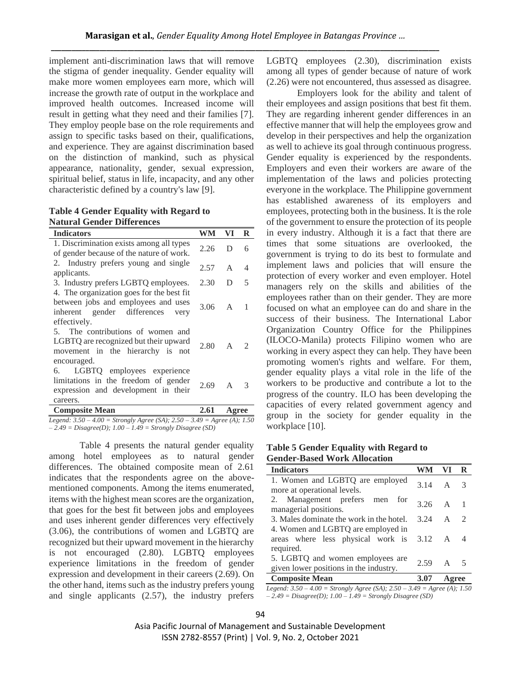implement anti-discrimination laws that will remove the stigma of gender inequality. Gender equality will make more women employees earn more, which will increase the growth rate of output in the workplace and improved health outcomes. Increased income will result in getting what they need and their families [7]. They employ people base on the role requirements and assign to specific tasks based on their, qualifications, and experience. They are against discrimination based on the distinction of mankind, such as physical appearance, nationality, gender, sexual expression, spiritual belief, status in life, incapacity, and any other characteristic defined by a country's law [9].

**Table 4 Gender Equality with Regard to Natural Gender Differences**

| <b>Indicators</b>                                                                                                                       | WM               | VI           | R                           |
|-----------------------------------------------------------------------------------------------------------------------------------------|------------------|--------------|-----------------------------|
| 1. Discrimination exists among all types<br>of gender because of the nature of work.                                                    | 2.26             | D            | 6                           |
| 2. Industry prefers young and single<br>applicants.                                                                                     | 2.57             | $\mathsf{A}$ | 4                           |
| 3. Industry prefers LGBTQ employees.                                                                                                    | 2.30             | D            | 5                           |
| 4. The organization goes for the best fit<br>between jobs and employees and uses<br>inherent gender differences<br>very<br>effectively. | $3.06 \, A \, 1$ |              |                             |
| 5. The contributions of women and<br>LGBTQ are recognized but their upward<br>movement in the hierarchy is not<br>encouraged.           | 2.80             | $\mathsf{A}$ | $\mathcal{D}_{\mathcal{L}}$ |
| LGBTQ employees experience<br>6.<br>limitations in the freedom of gender<br>expression and development in their<br>careers.             | 2.69             | $A \quad 3$  |                             |
| <b>Composite Mean</b>                                                                                                                   | 2.61             | Agree        |                             |

*Legend: 3.50 – 4.00 = Strongly Agree (SA); 2.50 – 3.49 = Agree (A); 1.50 – 2.49 = Disagree(D); 1.00 – 1.49 = Strongly Disagree (SD)*

Table 4 presents the natural gender equality among hotel employees as to natural gender differences. The obtained composite mean of 2.61 indicates that the respondents agree on the abovementioned components. Among the items enumerated, items with the highest mean scores are the organization, that goes for the best fit between jobs and employees and uses inherent gender differences very effectively (3.06), the contributions of women and LGBTQ are recognized but their upward movement in the hierarchy is not encouraged (2.80). LGBTQ employees experience limitations in the freedom of gender expression and development in their careers (2.69). On the other hand, items such as the industry prefers young and single applicants (2.57), the industry prefers

LGBTQ employees (2.30), discrimination exists among all types of gender because of nature of work (2.26) were not encountered, thus assessed as disagree.

Employers look for the ability and talent of their employees and assign positions that best fit them. They are regarding inherent gender differences in an effective manner that will help the employees grow and develop in their perspectives and help the organization as well to achieve its goal through continuous progress. Gender equality is experienced by the respondents. Employers and even their workers are aware of the implementation of the laws and policies protecting everyone in the workplace. The Philippine government has established awareness of its employers and employees, protecting both in the business. It is the role of the government to ensure the protection of its people in every industry. Although it is a fact that there are times that some situations are overlooked, the government is trying to do its best to formulate and implement laws and policies that will ensure the protection of every worker and even employer. Hotel managers rely on the skills and abilities of the employees rather than on their gender. They are more focused on what an employee can do and share in the success of their business. The International Labor Organization Country Office for the Philippines (ILOCO-Manila) protects Filipino women who are working in every aspect they can help. They have been promoting women's rights and welfare. For them, gender equality plays a vital role in the life of the workers to be productive and contribute a lot to the progress of the country. ILO has been developing the capacities of every related government agency and group in the society for gender equality in the workplace [10].

**Table 5 Gender Equality with Regard to Gender-Based Work Allocation**

| <b>Indicators</b>                                                                             |               | VI.              |   |
|-----------------------------------------------------------------------------------------------|---------------|------------------|---|
| 1. Women and LGBTQ are employed                                                               | $314 \quad A$ |                  | 3 |
| more at operational levels.                                                                   |               |                  |   |
| 2. Management prefers men for<br>managerial positions.                                        | 3.26          | $\overline{A}$ 1 |   |
| 3. Males dominate the work in the hotel.                                                      | 3.24          | $A \quad 2$      |   |
| 4. Women and LGBTQ are employed in<br>areas where less physical work is 3.12 A 4<br>required. |               |                  |   |
| 5. LGBTQ and women employees are<br>given lower positions in the industry.                    | 2.59          | A 5              |   |
| <b>Composite Mean</b>                                                                         | 3.07          |                  |   |

*Legend: 3.50 – 4.00 = Strongly Agree (SA); 2.50 – 3.49 = Agree (A); 1.50 – 2.49 = Disagree(D); 1.00 – 1.49 = Strongly Disagree (SD)*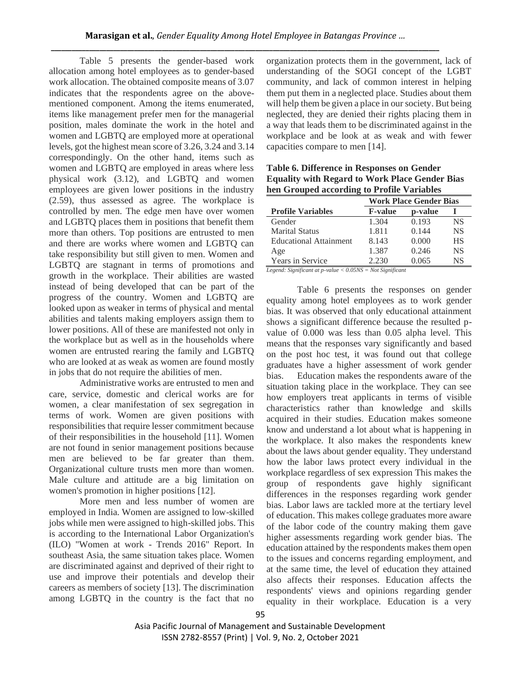Table 5 presents the gender-based work allocation among hotel employees as to gender-based work allocation. The obtained composite means of 3.07 indicates that the respondents agree on the abovementioned component. Among the items enumerated, items like management prefer men for the managerial position, males dominate the work in the hotel and women and LGBTQ are employed more at operational levels, got the highest mean score of 3.26, 3.24 and 3.14 correspondingly. On the other hand, items such as women and LGBTQ are employed in areas where less physical work (3.12), and LGBTQ and women employees are given lower positions in the industry (2.59), thus assessed as agree. The workplace is controlled by men. The edge men have over women and LGBTQ places them in positions that benefit them more than others. Top positions are entrusted to men and there are works where women and LGBTQ can take responsibility but still given to men. Women and LGBTQ are stagnant in terms of promotions and growth in the workplace. Their abilities are wasted instead of being developed that can be part of the progress of the country. Women and LGBTQ are looked upon as weaker in terms of physical and mental abilities and talents making employers assign them to lower positions. All of these are manifested not only in the workplace but as well as in the households where women are entrusted rearing the family and LGBTQ who are looked at as weak as women are found mostly in jobs that do not require the abilities of men.

Administrative works are entrusted to men and care, service, domestic and clerical works are for women, a clear manifestation of sex segregation in terms of work. Women are given positions with responsibilities that require lesser commitment because of their responsibilities in the household [11]. Women are not found in senior management positions because men are believed to be far greater than them. Organizational culture trusts men more than women. Male culture and attitude are a big limitation on women's promotion in higher positions [12].

More men and less number of women are employed in India. Women are assigned to low-skilled jobs while men were assigned to high-skilled jobs. This is according to the International Labor Organization's (ILO) "Women at work - Trends 2016" Report. In southeast Asia, the same situation takes place. Women are discriminated against and deprived of their right to use and improve their potentials and develop their careers as members of society [13]. The discrimination among LGBTQ in the country is the fact that no organization protects them in the government, lack of understanding of the SOGI concept of the LGBT community, and lack of common interest in helping them put them in a neglected place. Studies about them will help them be given a place in our society. But being neglected, they are denied their rights placing them in a way that leads them to be discriminated against in the workplace and be look at as weak and with fewer capacities compare to men [14].

**Table 6. Difference in Responses on Gender Equality with Regard to Work Place Gender Bias hen Grouped according to Profile Variables**

|                               | <b>Work Place Gender Bias</b> |         |           |  |  |
|-------------------------------|-------------------------------|---------|-----------|--|--|
| <b>Profile Variables</b>      | <b>F-value</b>                | p-value |           |  |  |
| Gender                        | 1.304                         | 0.193   | <b>NS</b> |  |  |
| <b>Marital Status</b>         | 1.811                         | 0.144   | <b>NS</b> |  |  |
| <b>Educational Attainment</b> | 8.143                         | 0.000   | <b>HS</b> |  |  |
| Age                           | 1.387                         | 0.246   | <b>NS</b> |  |  |
| Years in Service              | 2.230                         | 0.065   | NS        |  |  |

*Legend: Significant at p-value < 0.05NS = Not Significant*

Table 6 presents the responses on gender equality among hotel employees as to work gender bias. It was observed that only educational attainment shows a significant difference because the resulted pvalue of 0.000 was less than 0.05 alpha level. This means that the responses vary significantly and based on the post hoc test, it was found out that college graduates have a higher assessment of work gender bias. Education makes the respondents aware of the situation taking place in the workplace. They can see how employers treat applicants in terms of visible characteristics rather than knowledge and skills acquired in their studies. Education makes someone know and understand a lot about what is happening in the workplace. It also makes the respondents knew about the laws about gender equality. They understand how the labor laws protect every individual in the workplace regardless of sex expression This makes the group of respondents gave highly significant differences in the responses regarding work gender bias. Labor laws are tackled more at the tertiary level of education. This makes college graduates more aware of the labor code of the country making them gave higher assessments regarding work gender bias. The education attained by the respondents makes them open to the issues and concerns regarding employment, and at the same time, the level of education they attained also affects their responses. Education affects the respondents' views and opinions regarding gender equality in their workplace. Education is a very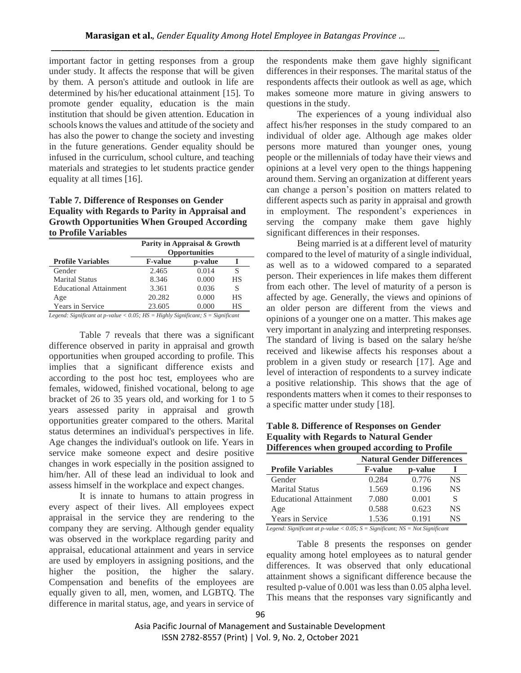important factor in getting responses from a group under study. It affects the response that will be given by them. A person's attitude and outlook in life are determined by his/her educational attainment [15]. To promote gender equality, education is the main institution that should be given attention. Education in schools knows the values and attitude of the society and has also the power to change the society and investing in the future generations. Gender equality should be infused in the curriculum, school culture, and teaching materials and strategies to let students practice gender equality at all times [16].

## **Table 7. Difference of Responses on Gender Equality with Regards to Parity in Appraisal and Growth Opportunities When Grouped According to Profile Variables**

|                               | Parity in Appraisal & Growth<br><b>Opportunities</b> |         |    |  |  |
|-------------------------------|------------------------------------------------------|---------|----|--|--|
| <b>Profile Variables</b>      | <b>F-value</b>                                       | p-value |    |  |  |
| Gender                        | 2.465                                                | 0.014   |    |  |  |
| <b>Marital Status</b>         | 8.346                                                | 0.000   | HS |  |  |
| <b>Educational Attainment</b> | 3.361                                                | 0.036   | S  |  |  |
| Age                           | 20.282                                               | 0.000   | НS |  |  |
| <b>Years in Service</b>       | 23.605                                               |         | НS |  |  |

*Legend: Significant at p-value < 0.05; HS = Highly Significant; S = Significant*

Table 7 reveals that there was a significant difference observed in parity in appraisal and growth opportunities when grouped according to profile. This implies that a significant difference exists and according to the post hoc test, employees who are females, widowed, finished vocational, belong to age bracket of 26 to 35 years old, and working for 1 to 5 years assessed parity in appraisal and growth opportunities greater compared to the others. Marital status determines an individual's perspectives in life. Age changes the individual's outlook on life. Years in service make someone expect and desire positive changes in work especially in the position assigned to him/her. All of these lead an individual to look and assess himself in the workplace and expect changes.

It is innate to humans to attain progress in every aspect of their lives. All employees expect appraisal in the service they are rendering to the company they are serving. Although gender equality was observed in the workplace regarding parity and appraisal, educational attainment and years in service are used by employers in assigning positions, and the higher the position, the higher the salary. Compensation and benefits of the employees are equally given to all, men, women, and LGBTQ. The difference in marital status, age, and years in service of

the respondents make them gave highly significant differences in their responses. The marital status of the respondents affects their outlook as well as age, which makes someone more mature in giving answers to questions in the study.

The experiences of a young individual also affect his/her responses in the study compared to an individual of older age. Although age makes older persons more matured than younger ones, young people or the millennials of today have their views and opinions at a level very open to the things happening around them. Serving an organization at different years can change a person's position on matters related to different aspects such as parity in appraisal and growth in employment. The respondent's experiences in serving the company make them gave highly significant differences in their responses.

Being married is at a different level of maturity compared to the level of maturity of a single individual, as well as to a widowed compared to a separated person. Their experiences in life makes them different from each other. The level of maturity of a person is affected by age. Generally, the views and opinions of an older person are different from the views and opinions of a younger one on a matter. This makes age very important in analyzing and interpreting responses. The standard of living is based on the salary he/she received and likewise affects his responses about a problem in a given study or research [17]. Age and level of interaction of respondents to a survey indicate a positive relationship. This shows that the age of respondents matters when it comes to their responses to a specific matter under study [18].

**Table 8. Difference of Responses on Gender Equality with Regards to Natural Gender Differences when grouped according to Profile** 

| Darler valuud Walua<br>$\mathbf{L}$ . $\mathbf{L}$ with $\mathbf{L}$ and $\mathbf{L}$ and $\mathbf{L}$ and $\mathbf{L}$ and $\mathbf{L}$ |                                   |         |           |  |  |  |
|------------------------------------------------------------------------------------------------------------------------------------------|-----------------------------------|---------|-----------|--|--|--|
|                                                                                                                                          | <b>Natural Gender Differences</b> |         |           |  |  |  |
| <b>Profile Variables</b>                                                                                                                 | <b>F-value</b>                    | p-value |           |  |  |  |
| Gender                                                                                                                                   | 0.284                             | 0.776   | <b>NS</b> |  |  |  |
| <b>Marital Status</b>                                                                                                                    | 1.569                             | 0.196   | <b>NS</b> |  |  |  |
| <b>Educational Attainment</b>                                                                                                            | 7.080                             | 0.001   | S         |  |  |  |
| Age                                                                                                                                      | 0.588                             | 0.623   | <b>NS</b> |  |  |  |
| <b>Years in Service</b>                                                                                                                  | 1.536                             | 0.191   | NS        |  |  |  |

*Legend: Significant at p-value < 0.05; S = Significant; NS = Not Significant*

Table 8 presents the responses on gender equality among hotel employees as to natural gender differences. It was observed that only educational attainment shows a significant difference because the resulted p-value of 0.001 was less than 0.05 alpha level. This means that the responses vary significantly and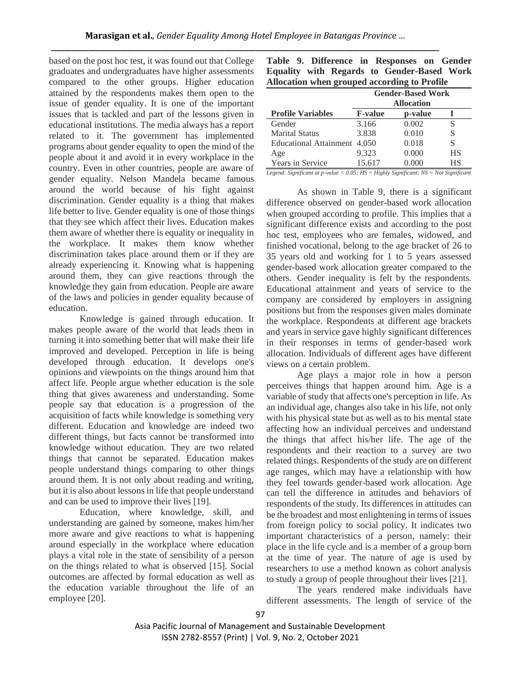based on the post hoc test, it was found out that College graduates and undergraduates have higher assessments compared to the other groups. Higher education attained by the respondents makes them open to the issue of gender equality. It is one of the important issues that is tackled and part of the lessons given in educational institutions. The media always has a report related to it. The government has implemented programs about gender equality to open the mind of the people about it and avoid it in every workplace in the country. Even in other countries, people are aware of gender equality. Nelson Mandela became famous around the world because of his fight against discrimination. Gender equality is a thing that makes life better to live. Gender equality is one of those things that they see which affect their lives. Education makes them aware of whether there is equality or inequality in the workplace. It makes them know whether discrimination takes place around them or if they are already experiencing it. Knowing what is happening around them, they can give reactions through the knowledge they gain from education. People are aware of the laws and policies in gender equality because of education.

Knowledge is gained through education. It makes people aware of the world that leads them in turning it into something better that will make their life improved and developed. Perception in life is being developed through education. It develops one's opinions and viewpoints on the things around him that affect life. People argue whether education is the sole thing that gives awareness and understanding. Some people say that education is a progression of the acquisition of facts while knowledge is something very different. Education and knowledge are indeed two different things, but facts cannot be transformed into knowledge without education. They are two related things that cannot be separated. Education makes people understand things comparing to other things around them. It is not only about reading and writing, but it is also about lessons in life that people understand and can be used to improve their lives [19].

Education, where knowledge, skill, and understanding are gained by someone, makes him/her more aware and give reactions to what is happening around especially in the workplace where education plays a vital role in the state of sensibility of a person on the things related to what is observed [15]. Social outcomes are affected by formal education as well as the education variable throughout the life of an employee [20].

|  |  |  | Table 9. Difference in Responses on Gender          |  |
|--|--|--|-----------------------------------------------------|--|
|  |  |  | <b>Equality with Regards to Gender-Based Work</b>   |  |
|  |  |  | <b>Allocation when grouped according to Profile</b> |  |

|                               | <b>Gender-Based Work</b><br><b>Allocation</b> |         |           |
|-------------------------------|-----------------------------------------------|---------|-----------|
| <b>Profile Variables</b>      | <b>F-value</b>                                | p-value |           |
| Gender                        | 3.166                                         | 0.002   |           |
| <b>Marital Status</b>         | 3.838                                         | 0.010   | S         |
| <b>Educational Attainment</b> | 4.050                                         | 0.018   | S         |
| Age                           | 9.323                                         | 0.000   | <b>HS</b> |
| Years in Service              | 15.617                                        | 0.000   | НS        |

*Legend: Significant at p-value < 0.05; HS = Highly Significant; NS = Not Significant*

As shown in Table 9, there is a significant difference observed on gender-based work allocation when grouped according to profile. This implies that a significant difference exists and according to the post hoc test, employees who are females, widowed, and finished vocational, belong to the age bracket of 26 to 35 years old and working for 1 to 5 years assessed gender-based work allocation greater compared to the others. Gender inequality is felt by the respondents. Educational attainment and years of service to the company are considered by employers in assigning positions but from the responses given males dominate the workplace. Respondents at different age brackets and years in service gave highly significant differences in their responses in terms of gender-based work allocation. Individuals of different ages have different views on a certain problem.

Age plays a major role in how a person perceives things that happen around him. Age is a variable of study that affects one's perception in life. As an individual age, changes also take in his life, not only with his physical state but as well as to his mental state affecting how an individual perceives and understand the things that affect his/her life. The age of the respondents and their reaction to a survey are two related things. Respondents of the study are on different age ranges, which may have a relationship with how they feel towards gender-based work allocation. Age can tell the difference in attitudes and behaviors of respondents of the study. Its differences in attitudes can be the broadest and most enlightening in terms of issues from foreign policy to social policy. It indicates two important characteristics of a person, namely: their place in the life cycle and is a member of a group born at the time of year. The nature of age is used by researchers to use a method known as cohort analysis to study a group of people throughout their lives [21].

The years rendered make individuals have different assessments. The length of service of the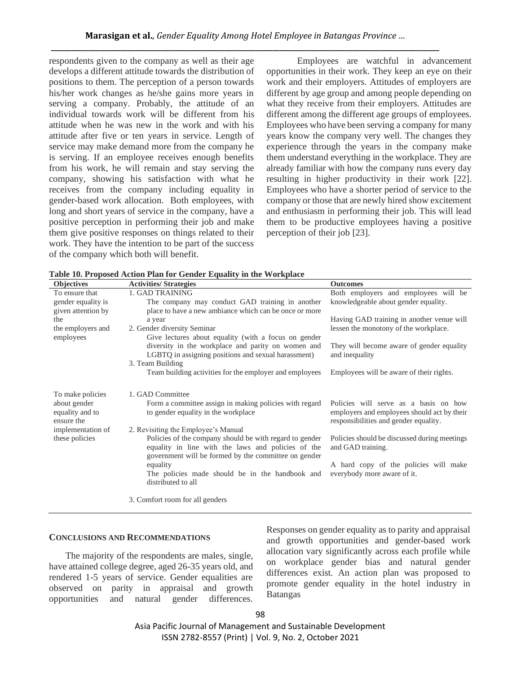respondents given to the company as well as their age develops a different attitude towards the distribution of positions to them. The perception of a person towards his/her work changes as he/she gains more years in serving a company. Probably, the attitude of an individual towards work will be different from his attitude when he was new in the work and with his attitude after five or ten years in service. Length of service may make demand more from the company he is serving. If an employee receives enough benefits from his work, he will remain and stay serving the company, showing his satisfaction with what he receives from the company including equality in gender-based work allocation. Both employees, with long and short years of service in the company, have a positive perception in performing their job and make them give positive responses on things related to their work. They have the intention to be part of the success of the company which both will benefit.

Employees are watchful in advancement opportunities in their work. They keep an eye on their work and their employers. Attitudes of employers are different by age group and among people depending on what they receive from their employers. Attitudes are different among the different age groups of employees. Employees who have been serving a company for many years know the company very well. The changes they experience through the years in the company make them understand everything in the workplace. They are already familiar with how the company runs every day resulting in higher productivity in their work [22]. Employees who have a shorter period of service to the company or those that are newly hired show excitement and enthusiasm in performing their job. This will lead them to be productive employees having a positive perception of their job [23].

| Objectives                                    | <b>Activities/Strategies</b>                                                                                                                                          | <b>Outcomes</b>                                                                                                               |
|-----------------------------------------------|-----------------------------------------------------------------------------------------------------------------------------------------------------------------------|-------------------------------------------------------------------------------------------------------------------------------|
| To ensure that<br>gender equality is          | 1. GAD TRAINING<br>The company may conduct GAD training in another                                                                                                    | Both employers and employees will be<br>knowledgeable about gender equality.                                                  |
| given attention by                            | place to have a new ambiance which can be once or more                                                                                                                |                                                                                                                               |
| the                                           | a year                                                                                                                                                                | Having GAD training in another venue will                                                                                     |
| the employers and<br>employees                | 2. Gender diversity Seminar<br>Give lectures about equality (with a focus on gender                                                                                   | lessen the monotony of the workplace.                                                                                         |
|                                               | diversity in the workplace and parity on women and<br>LGBTQ in assigning positions and sexual harassment)                                                             | They will become aware of gender equality<br>and inequality                                                                   |
|                                               | 3. Team Building                                                                                                                                                      |                                                                                                                               |
|                                               | Team building activities for the employer and employees                                                                                                               | Employees will be aware of their rights.                                                                                      |
| To make policies                              | 1. GAD Committee                                                                                                                                                      |                                                                                                                               |
| about gender<br>equality and to<br>ensure the | Form a committee assign in making policies with regard<br>to gender equality in the workplace                                                                         | Policies will serve as a basis on how<br>employers and employees should act by their<br>responsibilities and gender equality. |
| implementation of                             | 2. Revisiting the Employee's Manual                                                                                                                                   |                                                                                                                               |
| these policies                                | Policies of the company should be with regard to gender<br>equality in line with the laws and policies of the<br>government will be formed by the committee on gender | Policies should be discussed during meetings<br>and GAD training.                                                             |
|                                               | equality<br>The policies made should be in the handbook and<br>distributed to all                                                                                     | A hard copy of the policies will make<br>everybody more aware of it.                                                          |
|                                               | 3. Comfort room for all genders                                                                                                                                       |                                                                                                                               |

**Table 10. Proposed Action Plan for Gender Equality in the Workplace**

## **CONCLUSIONS AND RECOMMENDATIONS**

 The majority of the respondents are males, single, have attained college degree, aged 26-35 years old, and rendered 1-5 years of service. Gender equalities are observed on parity in appraisal and growth opportunities and natural gender differences.

Responses on gender equality as to parity and appraisal and growth opportunities and gender-based work allocation vary significantly across each profile while on workplace gender bias and natural gender differences exist. An action plan was proposed to promote gender equality in the hotel industry in Batangas